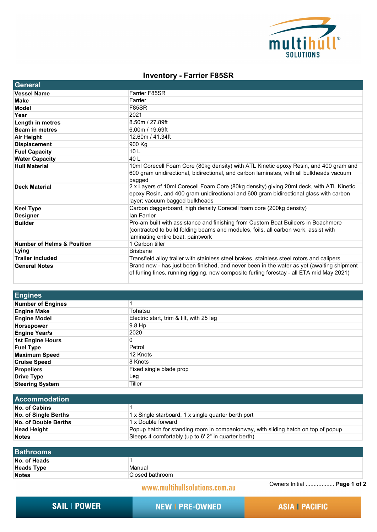

## **Inventory - Farrier F85SR**

| General                               |                                                                                                                                                                                                                    |
|---------------------------------------|--------------------------------------------------------------------------------------------------------------------------------------------------------------------------------------------------------------------|
| <b>Vessel Name</b>                    | Farrier F85SR                                                                                                                                                                                                      |
| <b>Make</b>                           | Farrier                                                                                                                                                                                                            |
| <b>Model</b>                          | <b>F85SR</b>                                                                                                                                                                                                       |
| Year                                  | 2021                                                                                                                                                                                                               |
| Length in metres                      | 8.50m / 27.89ft                                                                                                                                                                                                    |
| <b>Beam in metres</b>                 | 6.00m / 19.69ft                                                                                                                                                                                                    |
| <b>Air Height</b>                     | 12.60m / 41.34ft                                                                                                                                                                                                   |
| <b>Displacement</b>                   | 900 Kg                                                                                                                                                                                                             |
| <b>Fuel Capacity</b>                  | 10 <sub>L</sub>                                                                                                                                                                                                    |
| <b>Water Capacity</b>                 | 40 L                                                                                                                                                                                                               |
| <b>Hull Material</b>                  | 10ml Corecell Foam Core (80kg density) with ATL Kinetic epoxy Resin, and 400 gram and<br>600 gram unidirectional, bidirectional, and carbon laminates, with all bulkheads vacuum<br>bagged                         |
| <b>Deck Material</b>                  | 2 x Layers of 10ml Corecell Foam Core (80kg density) giving 20ml deck, with ATL Kinetic<br>epoxy Resin, and 400 gram unidirectional and 600 gram bidirectional glass with carbon<br>layer; vacuum bagged bulkheads |
| <b>Keel Type</b>                      | Carbon daggerboard, high density Corecell foam core (200kg density)                                                                                                                                                |
| <b>Designer</b>                       | <b>Ian Farrier</b>                                                                                                                                                                                                 |
| <b>Builder</b>                        | Pro-am built with assistance and finishing from Custom Boat Builders in Beachmere<br>(contracted to build folding beams and modules, foils, all carbon work, assist with<br>laminating entire boat, paintwork      |
| <b>Number of Helms &amp; Position</b> | 1 Carbon tiller                                                                                                                                                                                                    |
| Lying                                 | <b>Brisbane</b>                                                                                                                                                                                                    |
| <b>Trailer included</b>               | Transfield alloy trailer with stainless steel brakes, stainless steel rotors and calipers                                                                                                                          |
| <b>General Notes</b>                  | Brand new - has just been finished, and never been in the water as yet (awaiting shipment<br>of furling lines, running rigging, new composite furling forestay - all ETA mid May 2021)                             |

| <b>Engines</b>           |                                          |
|--------------------------|------------------------------------------|
| <b>Number of Engines</b> |                                          |
| <b>Engine Make</b>       | Tohatsu                                  |
| <b>Engine Model</b>      | Electric start, trim & tilt, with 25 leg |
| <b>Horsepower</b>        | 9.8 Hp                                   |
| <b>Engine Year/s</b>     | 2020                                     |
| <b>1st Engine Hours</b>  | 0                                        |
| <b>Fuel Type</b>         | Petrol                                   |
| <b>Maximum Speed</b>     | 12 Knots                                 |
| <b>Cruise Speed</b>      | 8 Knots                                  |
| <b>Propellers</b>        | Fixed single blade prop                  |
| <b>Drive Type</b>        | Leg                                      |
| <b>Steering System</b>   | Tiller                                   |

| 1 x Single starboard, 1 x single quarter berth port                               |
|-----------------------------------------------------------------------------------|
| 1 x Double forward                                                                |
| Popup hatch for standing room in companionway, with sliding hatch on top of popup |
| Sleeps 4 comfortably (up to 6' 2" in quarter berth)                               |
|                                                                                   |

| <b>Bathrooms</b>  |                 |
|-------------------|-----------------|
| No. of Heads      |                 |
| <b>Heads Type</b> | Manual          |
| <b>Notes</b>      | Closed bathroom |

www.multihullsolutions.com.au

Owners Initial .................. **Page 1 of 2**

**SAIL | POWER** 

**NEW PRE-OWNED** 

**ASIA | PACIFIC**